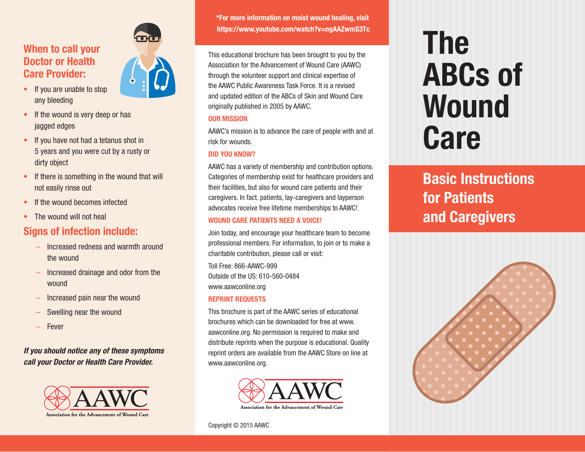## **When to call your Doctor or Health Care Provider:**

- If you are unable to stop any bleeding
- If the wound is very deep or has jagged edges
- If you have not had a tetanus shot in 5 years and you were cut by a rusty or dirty object
- If there is something in the wound that will not easily rinse out
- If the wound becomes infected
- The wound will not heal

## **Signs of infection include:**

- Increased redness and warmth around the wound
- Increased drainage and odor from the wound
- Increased pain near the wound
- Swelling near the wound
- Fever

*If you should notice any of these symptoms call your Doctor or Health Care Provider.* 





**\*For more information on moist wound healing, visit https://www.youtube.com/watch?v=ngAAZwmS3Tc**

This educational brochure has been brought to you by the Association for the Advancement of Wound Care (AAWC) through the volunteer support and clinical expertise of the AAWC Public Awareness Task Force. It is a revised and updated edition of the ABCs of Skin and Wound Care originally published in 2005 by AAWC.

#### **OUR MISSION**

AAWC's mission is to advance the care of people with and at risk for wounds.

#### **DID YOU KNOW?**

AAWC has a variety of membership and contribution options. Categories of membership exist for healthcare providers and their facilities, but also for wound care patients and their caregivers. In fact, patients, lay-caregivers and layperson advocates receive free lifetime memberships to AAWC!

#### **WOUND CARE PATIENTS NEED A VOICE!**

Join today, and encourage your healthcare team to become professional members. For information, to join or to make a charitable contribution, please call or visit: Toll Free: 866-AAWC-999 Outside of the US: 610-560-0484 www.aawconline.org **REPRINT REQUESTS**

This brochure is part of the AAWC series of educational brochures which can be downloaded for free at www. aawconline.org. No permission is required to make and distribute reprints when the purpose is educational. Quality reprint orders are available from the AAWC Store on line at www.aawconline.org.



#### Copyright © 2015 AAWC

# **The ABCs of Wound Care**

**Basic Instructions for Patients and Caregivers**